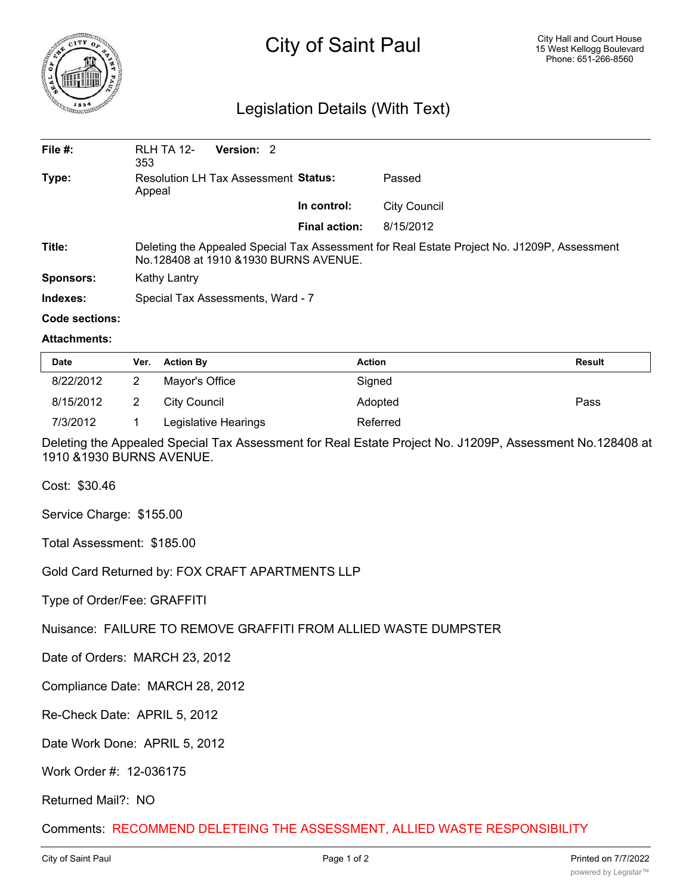

# City of Saint Paul

# Legislation Details (With Text)

| File $#$ : | RLH TA 12-<br>353                                                                                                                     | Version: 2 |                      |              |  |  |
|------------|---------------------------------------------------------------------------------------------------------------------------------------|------------|----------------------|--------------|--|--|
| Type:      | Resolution LH Tax Assessment Status:<br>Appeal                                                                                        |            |                      | Passed       |  |  |
|            |                                                                                                                                       |            | In control:          | City Council |  |  |
|            |                                                                                                                                       |            | <b>Final action:</b> | 8/15/2012    |  |  |
| Title:     | Deleting the Appealed Special Tax Assessment for Real Estate Project No. J1209P, Assessment<br>No.128408 at 1910 & 1930 BURNS AVENUE. |            |                      |              |  |  |
| Sponsors:  | Kathy Lantry                                                                                                                          |            |                      |              |  |  |
| Indexes:   | Special Tax Assessments, Ward - 7                                                                                                     |            |                      |              |  |  |

#### **Code sections:**

#### **Attachments:**

| <b>Date</b> | Ver. | <b>Action By</b>     | <b>Action</b> | Result |
|-------------|------|----------------------|---------------|--------|
| 8/22/2012   |      | Mayor's Office       | Signed        |        |
| 8/15/2012   |      | City Council         | Adopted       | Pass   |
| 7/3/2012    |      | Legislative Hearings | Referred      |        |

Deleting the Appealed Special Tax Assessment for Real Estate Project No. J1209P, Assessment No.128408 at 1910 &1930 BURNS AVENUE.

Cost: \$30.46

Service Charge: \$155.00

Total Assessment: \$185.00

Gold Card Returned by: FOX CRAFT APARTMENTS LLP

Type of Order/Fee: GRAFFITI

## Nuisance: FAILURE TO REMOVE GRAFFITI FROM ALLIED WASTE DUMPSTER

Date of Orders: MARCH 23, 2012

Compliance Date: MARCH 28, 2012

Re-Check Date: APRIL 5, 2012

Date Work Done: APRIL 5, 2012

Work Order #: 12-036175

### Returned Mail?: NO

Comments: RECOMMEND DELETEING THE ASSESSMENT, ALLIED WASTE RESPONSIBILITY